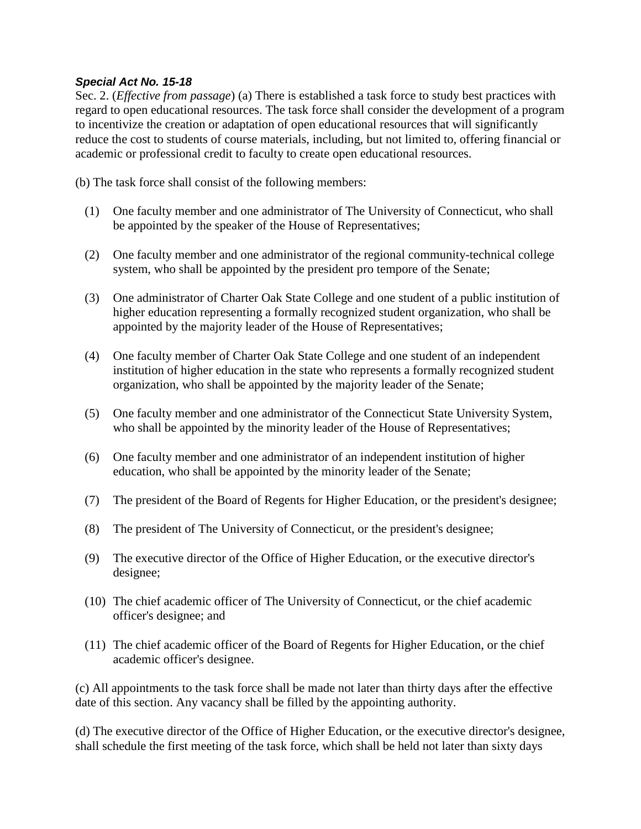## *Special Act No. 15-18*

Sec. 2. (*Effective from passage*) (a) There is established a task force to study best practices with regard to open educational resources. The task force shall consider the development of a program to incentivize the creation or adaptation of open educational resources that will significantly reduce the cost to students of course materials, including, but not limited to, offering financial or academic or professional credit to faculty to create open educational resources.

(b) The task force shall consist of the following members:

- (1) One faculty member and one administrator of The University of Connecticut, who shall be appointed by the speaker of the House of Representatives;
- (2) One faculty member and one administrator of the regional community-technical college system, who shall be appointed by the president pro tempore of the Senate;
- (3) One administrator of Charter Oak State College and one student of a public institution of higher education representing a formally recognized student organization, who shall be appointed by the majority leader of the House of Representatives;
- (4) One faculty member of Charter Oak State College and one student of an independent institution of higher education in the state who represents a formally recognized student organization, who shall be appointed by the majority leader of the Senate;
- (5) One faculty member and one administrator of the Connecticut State University System, who shall be appointed by the minority leader of the House of Representatives;
- (6) One faculty member and one administrator of an independent institution of higher education, who shall be appointed by the minority leader of the Senate;
- (7) The president of the Board of Regents for Higher Education, or the president's designee;
- (8) The president of The University of Connecticut, or the president's designee;
- (9) The executive director of the Office of Higher Education, or the executive director's designee;
- (10) The chief academic officer of The University of Connecticut, or the chief academic officer's designee; and
- (11) The chief academic officer of the Board of Regents for Higher Education, or the chief academic officer's designee.

(c) All appointments to the task force shall be made not later than thirty days after the effective date of this section. Any vacancy shall be filled by the appointing authority.

(d) The executive director of the Office of Higher Education, or the executive director's designee, shall schedule the first meeting of the task force, which shall be held not later than sixty days